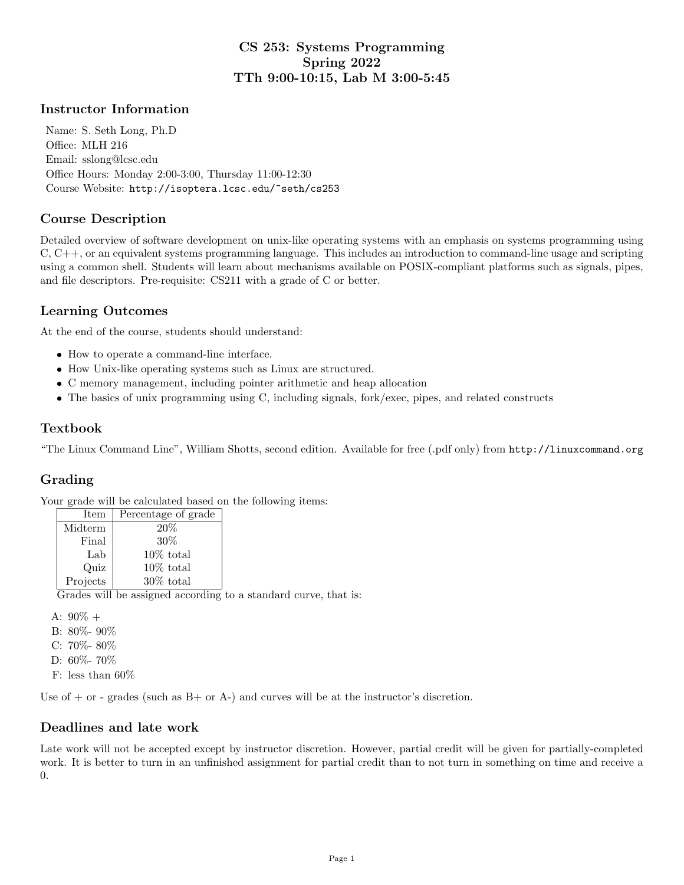## CS 253: Systems Programming Spring 2022 TTh 9:00-10:15, Lab M 3:00-5:45

#### Instructor Information

Name: S. Seth Long, Ph.D Office: MLH 216 Email: sslong@lcsc.edu Office Hours: Monday 2:00-3:00, Thursday 11:00-12:30 Course Website: http://isoptera.lcsc.edu/~seth/cs253

### Course Description

Detailed overview of software development on unix-like operating systems with an emphasis on systems programming using C, C++, or an equivalent systems programming language. This includes an introduction to command-line usage and scripting using a common shell. Students will learn about mechanisms available on POSIX-compliant platforms such as signals, pipes, and file descriptors. Pre-requisite: CS211 with a grade of C or better.

#### Learning Outcomes

At the end of the course, students should understand:

- How to operate a command-line interface.
- How Unix-like operating systems such as Linux are structured.
- C memory management, including pointer arithmetic and heap allocation
- The basics of unix programming using C, including signals, fork/exec, pipes, and related constructs

#### Textbook

"The Linux Command Line", William Shotts, second edition. Available for free (.pdf only) from http://linuxcommand.org

### Grading

Your grade will be calculated based on the following items:

| Item     | Percentage of grade |
|----------|---------------------|
| Midterm  | 20%                 |
| Final    | 30%                 |
| Lab      | $10\%$ total        |
| Quiz     | $10\%$ total        |
| Projects | $30\%$ total        |

Grades will be assigned according to a standard curve, that is:

A:  $90\%$  + B: 80%- 90% C: 70%- 80% D: 60%- 70%

F: less than 60%

Use of  $+$  or - grades (such as  $B+$  or  $A-$ ) and curves will be at the instructor's discretion.

#### Deadlines and late work

Late work will not be accepted except by instructor discretion. However, partial credit will be given for partially-completed work. It is better to turn in an unfinished assignment for partial credit than to not turn in something on time and receive a 0.